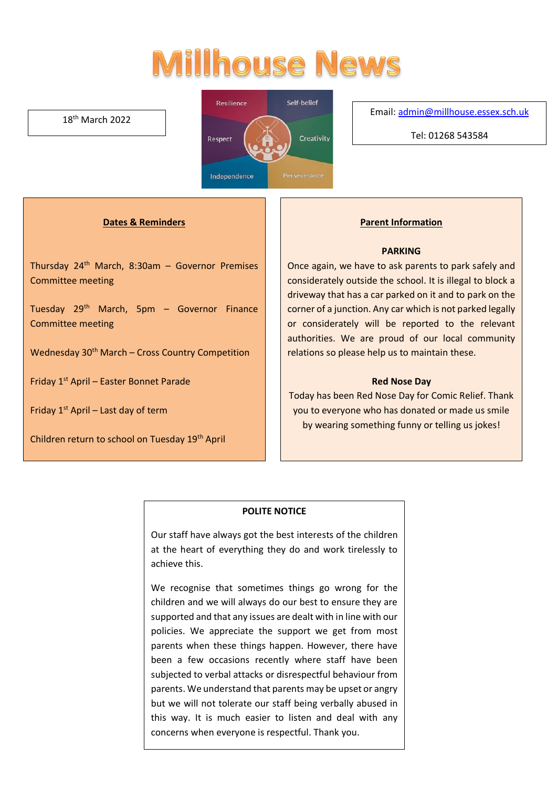# **Millhouse News**

#### 18th March 2022



#### Email[: admin@millhouse.essex.sch.uk](mailto:admin@millhouse.essex.sch.uk)

Tel: 01268 543584

#### **Dates & Reminders**

Thursday 24th March, 8:30am – Governor Premises Committee meeting

Tuesday 29th March, 5pm – Governor Finance Committee meeting

Wednesday 30<sup>th</sup> March – Cross Country Competition

Friday 1st April – Easter Bonnet Parade

Friday  $1<sup>st</sup>$  April – Last day of term

Children return to school on Tuesday 19th April

#### **Parent Information**

#### **PARKING**

Once again, we have to ask parents to park safely and considerately outside the school. It is illegal to block a driveway that has a car parked on it and to park on the corner of a junction. Any car which is not parked legally or considerately will be reported to the relevant authorities. We are proud of our local community relations so please help us to maintain these.

#### **Red Nose Day**

Today has been Red Nose Day for Comic Relief. Thank you to everyone who has donated or made us smile by wearing something funny or telling us jokes!

#### **POLITE NOTICE**

Our staff have always got the best interests of the children at the heart of everything they do and work tirelessly to achieve this.

We recognise that sometimes things go wrong for the children and we will always do our best to ensure they are supported and that any issues are dealt with in line with our policies. We appreciate the support we get from most parents when these things happen. However, there have been a few occasions recently where staff have been subjected to verbal attacks or disrespectful behaviour from parents. We understand that parents may be upset or angry but we will not tolerate our staff being verbally abused in this way. It is much easier to listen and deal with any concerns when everyone is respectful. Thank you.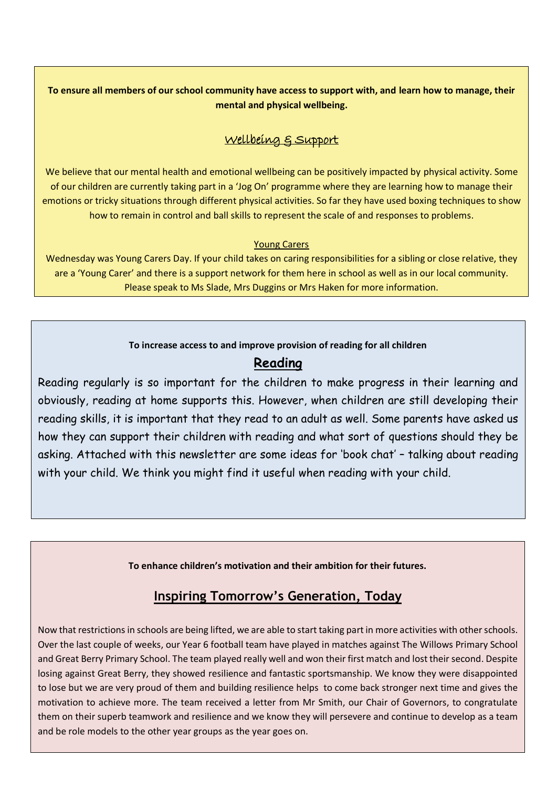## **To ensure all members of our school community have access to support with, and learn how to manage, their mental and physical wellbeing.**

## Wellbeing & Support

We believe that our mental health and emotional wellbeing can be positively impacted by physical activity. Some of our children are currently taking part in a 'Jog On' programme where they are learning how to manage their emotions or tricky situations through different physical activities. So far they have used boxing techniques to show how to remain in control and ball skills to represent the scale of and responses to problems.

## Young Carers

Wednesday was Young Carers Day. If your child takes on caring responsibilities for a sibling or close relative, they are a 'Young Carer' and there is a support network for them here in school as well as in our local community. Please speak to Ms Slade, Mrs Duggins or Mrs Haken for more information.

## **To increase access to and improve provision of reading for all children**

# **Reading**

Reading regularly is so important for the children to make progress in their learning and obviously, reading at home supports this. However, when children are still developing their reading skills, it is important that they read to an adult as well. Some parents have asked us how they can support their children with reading and what sort of questions should they be asking. Attached with this newsletter are some ideas for 'book chat' – talking about reading with your child. We think you might find it useful when reading with your child.

**To enhance children's motivation and their ambition for their futures.** 

# **Inspiring Tomorrow's Generation, Today**

Now that restrictions in schools are being lifted, we are able to start taking part in more activities with other schools. Over the last couple of weeks, our Year 6 football team have played in matches against The Willows Primary School and Great Berry Primary School. The team played really well and won their first match and lost their second. Despite losing against Great Berry, they showed resilience and fantastic sportsmanship. We know they were disappointed to lose but we are very proud of them and building resilience helps to come back stronger next time and gives the motivation to achieve more. The team received a letter from Mr Smith, our Chair of Governors, to congratulate them on their superb teamwork and resilience and we know they will persevere and continue to develop as a team and be role models to the other year groups as the year goes on.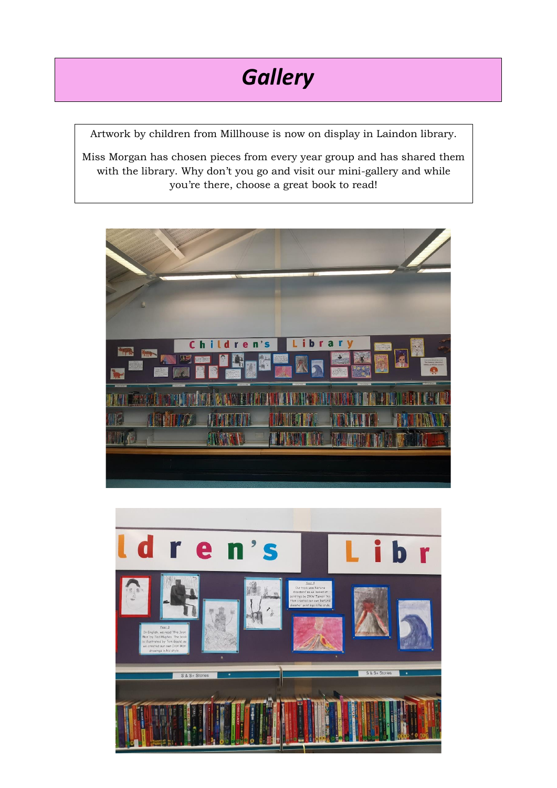

Artwork by children from Millhouse is now on display in Laindon library.

Miss Morgan has chosen pieces from every year group and has shared them with the library. Why don't you go and visit our mini-gallery and while you're there, choose a great book to read!